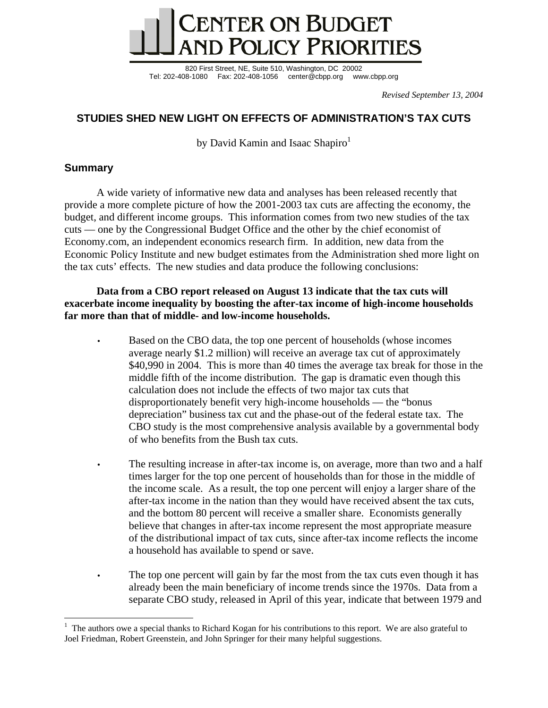

820 First Street, NE, Suite 510, Washington, DC 20002 Tel: 202-408-1080 Fax: 202-408-1056 center@cbpp.org www.cbpp.org

*Revised September 13, 2004* 

# **STUDIES SHED NEW LIGHT ON EFFECTS OF ADMINISTRATION'S TAX CUTS**

by David Kamin and Isaac Shapiro $<sup>1</sup>$ </sup>

# **Summary**

 $\overline{a}$ 

A wide variety of informative new data and analyses has been released recently that provide a more complete picture of how the 2001-2003 tax cuts are affecting the economy, the budget, and different income groups. This information comes from two new studies of the tax cuts — one by the Congressional Budget Office and the other by the chief economist of Economy.com, an independent economics research firm. In addition, new data from the Economic Policy Institute and new budget estimates from the Administration shed more light on the tax cuts' effects. The new studies and data produce the following conclusions:

## **Data from a CBO report released on August 13 indicate that the tax cuts will exacerbate income inequality by boosting the after-tax income of high-income households far more than that of middle- and low-income households.**

- Based on the CBO data, the top one percent of households (whose incomes average nearly \$1.2 million) will receive an average tax cut of approximately \$40,990 in 2004. This is more than 40 times the average tax break for those in the middle fifth of the income distribution. The gap is dramatic even though this calculation does not include the effects of two major tax cuts that disproportionately benefit very high-income households — the "bonus depreciation" business tax cut and the phase-out of the federal estate tax. The CBO study is the most comprehensive analysis available by a governmental body of who benefits from the Bush tax cuts.
- The resulting increase in after-tax income is, on average, more than two and a half times larger for the top one percent of households than for those in the middle of the income scale. As a result, the top one percent will enjoy a larger share of the after-tax income in the nation than they would have received absent the tax cuts, and the bottom 80 percent will receive a smaller share. Economists generally believe that changes in after-tax income represent the most appropriate measure of the distributional impact of tax cuts, since after-tax income reflects the income a household has available to spend or save.
- The top one percent will gain by far the most from the tax cuts even though it has already been the main beneficiary of income trends since the 1970s. Data from a separate CBO study, released in April of this year, indicate that between 1979 and

<sup>1</sup> The authors owe a special thanks to Richard Kogan for his contributions to this report. We are also grateful to Joel Friedman, Robert Greenstein, and John Springer for their many helpful suggestions.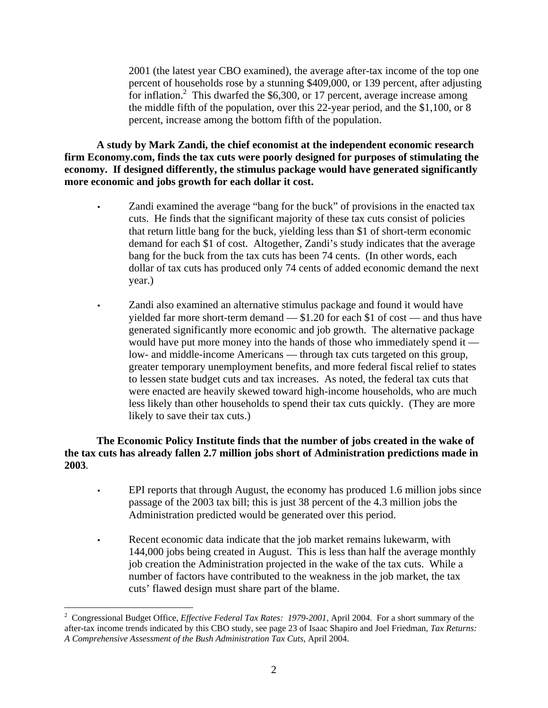2001 (the latest year CBO examined), the average after-tax income of the top one percent of households rose by a stunning \$409,000, or 139 percent, after adjusting for inflation.<sup>2</sup> This dwarfed the \$6,300, or 17 percent, average increase among the middle fifth of the population, over this 22-year period, and the \$1,100, or 8 percent, increase among the bottom fifth of the population.

**A study by Mark Zandi, the chief economist at the independent economic research firm Economy.com, finds the tax cuts were poorly designed for purposes of stimulating the economy. If designed differently, the stimulus package would have generated significantly more economic and jobs growth for each dollar it cost.**

- Zandi examined the average "bang for the buck" of provisions in the enacted tax cuts. He finds that the significant majority of these tax cuts consist of policies that return little bang for the buck, yielding less than \$1 of short-term economic demand for each \$1 of cost. Altogether, Zandi's study indicates that the average bang for the buck from the tax cuts has been 74 cents. (In other words, each dollar of tax cuts has produced only 74 cents of added economic demand the next year.)
- Zandi also examined an alternative stimulus package and found it would have yielded far more short-term demand — \$1.20 for each \$1 of cost — and thus have generated significantly more economic and job growth. The alternative package would have put more money into the hands of those who immediately spend it low- and middle-income Americans — through tax cuts targeted on this group, greater temporary unemployment benefits, and more federal fiscal relief to states to lessen state budget cuts and tax increases. As noted, the federal tax cuts that were enacted are heavily skewed toward high-income households, who are much less likely than other households to spend their tax cuts quickly. (They are more likely to save their tax cuts.)

## **The Economic Policy Institute finds that the number of jobs created in the wake of the tax cuts has already fallen 2.7 million jobs short of Administration predictions made in 2003***.*

- EPI reports that through August, the economy has produced 1.6 million jobs since passage of the 2003 tax bill; this is just 38 percent of the 4.3 million jobs the Administration predicted would be generated over this period.
- Recent economic data indicate that the job market remains lukewarm, with 144,000 jobs being created in August. This is less than half the average monthly job creation the Administration projected in the wake of the tax cuts. While a number of factors have contributed to the weakness in the job market, the tax cuts' flawed design must share part of the blame.

<sup>2</sup> Congressional Budget Office, *Effective Federal Tax Rates: 1979-2001*, April 2004. For a short summary of the after-tax income trends indicated by this CBO study, see page 23 of Isaac Shapiro and Joel Friedman, *Tax Returns: A Comprehensive Assessment of the Bush Administration Tax Cuts*, April 2004.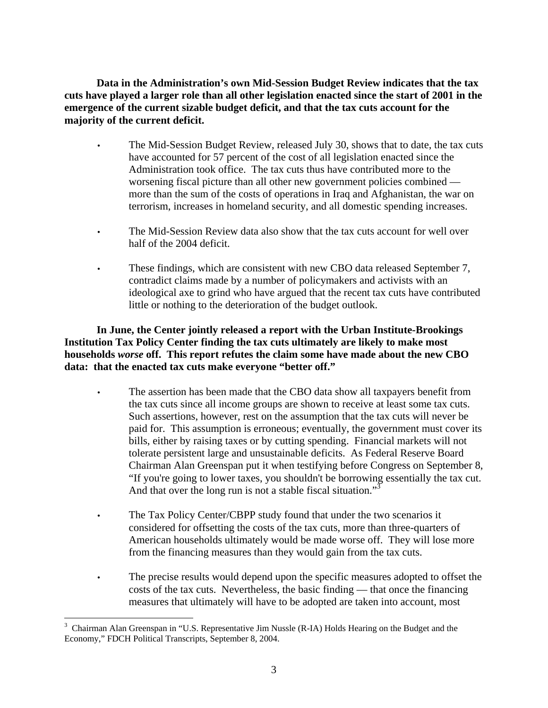**Data in the Administration's own Mid-Session Budget Review indicates that the tax cuts have played a larger role than all other legislation enacted since the start of 2001 in the emergence of the current sizable budget deficit, and that the tax cuts account for the majority of the current deficit.** 

- The Mid-Session Budget Review, released July 30, shows that to date, the tax cuts have accounted for 57 percent of the cost of all legislation enacted since the Administration took office. The tax cuts thus have contributed more to the worsening fiscal picture than all other new government policies combined more than the sum of the costs of operations in Iraq and Afghanistan, the war on terrorism, increases in homeland security, and all domestic spending increases.
- The Mid-Session Review data also show that the tax cuts account for well over half of the 2004 deficit.
- These findings, which are consistent with new CBO data released September 7, contradict claims made by a number of policymakers and activists with an ideological axe to grind who have argued that the recent tax cuts have contributed little or nothing to the deterioration of the budget outlook.

**In June, the Center jointly released a report with the Urban Institute-Brookings Institution Tax Policy Center finding the tax cuts ultimately are likely to make most households** *worse* **off. This report refutes the claim some have made about the new CBO data: that the enacted tax cuts make everyone "better off."** 

- The assertion has been made that the CBO data show all taxpayers benefit from the tax cuts since all income groups are shown to receive at least some tax cuts. Such assertions, however, rest on the assumption that the tax cuts will never be paid for. This assumption is erroneous; eventually, the government must cover its bills, either by raising taxes or by cutting spending. Financial markets will not tolerate persistent large and unsustainable deficits. As Federal Reserve Board Chairman Alan Greenspan put it when testifying before Congress on September 8, "If you're going to lower taxes, you shouldn't be borrowing essentially the tax cut. And that over the long run is not a stable fiscal situation."<sup>3</sup>
- The Tax Policy Center/CBPP study found that under the two scenarios it considered for offsetting the costs of the tax cuts, more than three-quarters of American households ultimately would be made worse off. They will lose more from the financing measures than they would gain from the tax cuts.
- The precise results would depend upon the specific measures adopted to offset the costs of the tax cuts. Nevertheless, the basic finding — that once the financing measures that ultimately will have to be adopted are taken into account, most

 $3$  Chairman Alan Greenspan in "U.S. Representative Jim Nussle (R-IA) Holds Hearing on the Budget and the Economy," FDCH Political Transcripts, September 8, 2004.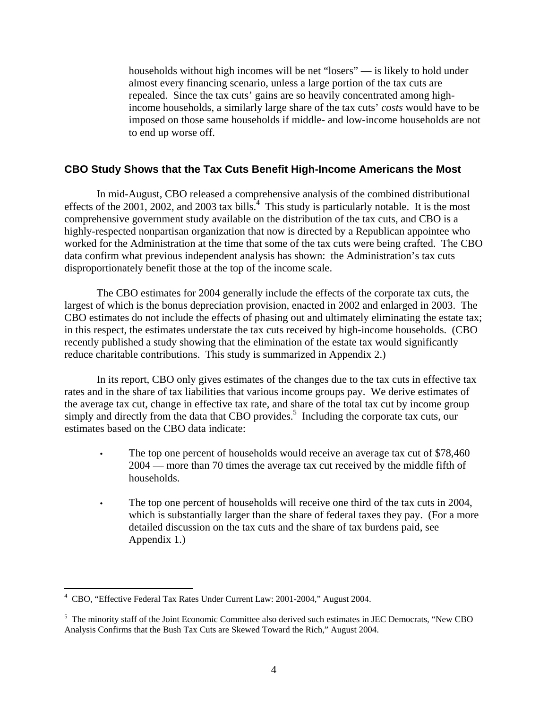households without high incomes will be net "losers" — is likely to hold under almost every financing scenario, unless a large portion of the tax cuts are repealed. Since the tax cuts' gains are so heavily concentrated among highincome households, a similarly large share of the tax cuts' *costs* would have to be imposed on those same households if middle- and low-income households are not to end up worse off.

## **CBO Study Shows that the Tax Cuts Benefit High-Income Americans the Most**

In mid-August, CBO released a comprehensive analysis of the combined distributional effects of the  $2001$ ,  $2002$ , and  $2003$  tax bills.<sup>4</sup> This study is particularly notable. It is the most comprehensive government study available on the distribution of the tax cuts, and CBO is a highly-respected nonpartisan organization that now is directed by a Republican appointee who worked for the Administration at the time that some of the tax cuts were being crafted. The CBO data confirm what previous independent analysis has shown: the Administration's tax cuts disproportionately benefit those at the top of the income scale.

The CBO estimates for 2004 generally include the effects of the corporate tax cuts, the largest of which is the bonus depreciation provision, enacted in 2002 and enlarged in 2003. The CBO estimates do not include the effects of phasing out and ultimately eliminating the estate tax; in this respect, the estimates understate the tax cuts received by high-income households. (CBO recently published a study showing that the elimination of the estate tax would significantly reduce charitable contributions. This study is summarized in Appendix 2.)

In its report, CBO only gives estimates of the changes due to the tax cuts in effective tax rates and in the share of tax liabilities that various income groups pay. We derive estimates of the average tax cut, change in effective tax rate, and share of the total tax cut by income group simply and directly from the data that CBO provides.<sup>5</sup> Including the corporate tax cuts, our estimates based on the CBO data indicate:

- The top one percent of households would receive an average tax cut of \$78,460 2004 — more than 70 times the average tax cut received by the middle fifth of households.
- The top one percent of households will receive one third of the tax cuts in 2004, which is substantially larger than the share of federal taxes they pay. (For a more detailed discussion on the tax cuts and the share of tax burdens paid, see Appendix 1.)

<sup>4</sup> CBO, "Effective Federal Tax Rates Under Current Law: 2001-2004," August 2004.

<sup>&</sup>lt;sup>5</sup> The minority staff of the Joint Economic Committee also derived such estimates in JEC Democrats, "New CBO Analysis Confirms that the Bush Tax Cuts are Skewed Toward the Rich," August 2004.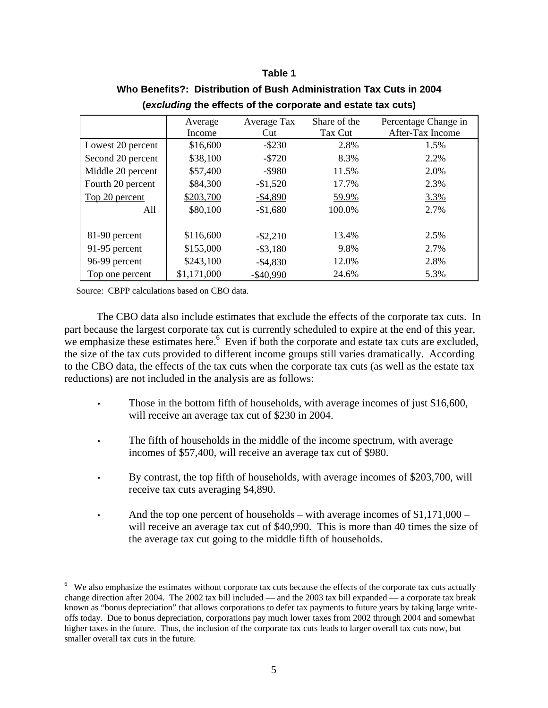### **Table 1**

|                   | Average<br>Income | Average Tax<br>Cut | Share of the<br>Tax Cut | Percentage Change in<br>After-Tax Income |
|-------------------|-------------------|--------------------|-------------------------|------------------------------------------|
| Lowest 20 percent | \$16,600          | $-$ \$230          | 2.8%                    | 1.5%                                     |
| Second 20 percent | \$38,100          | $-5720$            | 8.3%                    | 2.2%                                     |
| Middle 20 percent | \$57,400          | $-$ \$980          | 11.5%                   | 2.0%                                     |
| Fourth 20 percent | \$84,300          | $-$1,520$          | 17.7%                   | 2.3%                                     |
| Top 20 percent    | \$203,700         | $-$4,890$          | 59.9%                   | 3.3%                                     |
| All               | \$80,100          | $-$1,680$          | 100.0%                  | 2.7%                                     |
| 81-90 percent     | \$116,600         | $-$ \$2,210        | 13.4%                   | 2.5%                                     |
| 91-95 percent     | \$155,000         | $-$ \$3,180        | 9.8%                    | 2.7%                                     |
| 96-99 percent     | \$243,100         | $-$4,830$          | 12.0%                   | 2.8%                                     |
| Top one percent   | \$1,171,000       | $-$ \$40,990       | 24.6%                   | 5.3%                                     |

# **Who Benefits?: Distribution of Bush Administration Tax Cuts in 2004 (***excluding* **the effects of the corporate and estate tax cuts)**

Source: CBPP calculations based on CBO data.

 $\overline{a}$ 

The CBO data also include estimates that exclude the effects of the corporate tax cuts. In part because the largest corporate tax cut is currently scheduled to expire at the end of this year, we emphasize these estimates here.<sup>6</sup> Even if both the corporate and estate tax cuts are excluded, the size of the tax cuts provided to different income groups still varies dramatically. According to the CBO data, the effects of the tax cuts when the corporate tax cuts (as well as the estate tax reductions) are not included in the analysis are as follows:

- Those in the bottom fifth of households, with average incomes of just \$16,600, will receive an average tax cut of \$230 in 2004.
- The fifth of households in the middle of the income spectrum, with average incomes of \$57,400, will receive an average tax cut of \$980.
- By contrast, the top fifth of households, with average incomes of \$203,700, will receive tax cuts averaging \$4,890.
- And the top one percent of households with average incomes of  $$1,171,000$  will receive an average tax cut of \$40,990. This is more than 40 times the size of the average tax cut going to the middle fifth of households.

<sup>&</sup>lt;sup>6</sup> We also emphasize the estimates without corporate tax cuts because the effects of the corporate tax cuts actually change direction after 2004. The 2002 tax bill included — and the 2003 tax bill expanded — a corporate tax break known as "bonus depreciation" that allows corporations to defer tax payments to future years by taking large writeoffs today. Due to bonus depreciation, corporations pay much lower taxes from 2002 through 2004 and somewhat higher taxes in the future. Thus, the inclusion of the corporate tax cuts leads to larger overall tax cuts now, but smaller overall tax cuts in the future.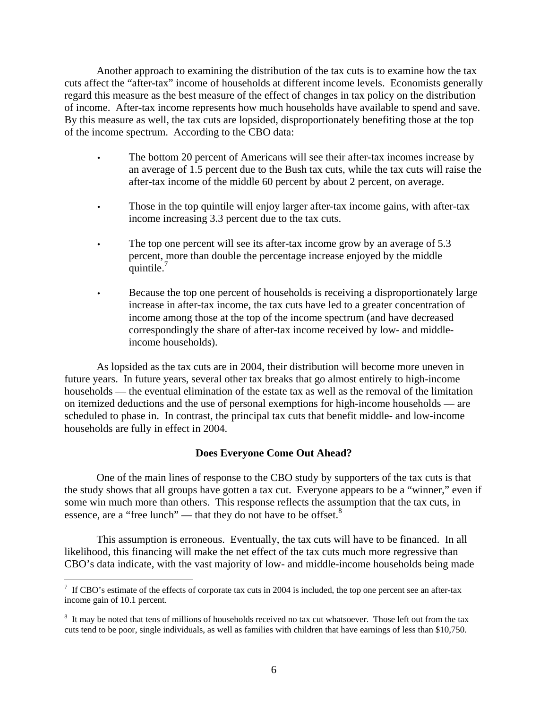Another approach to examining the distribution of the tax cuts is to examine how the tax cuts affect the "after-tax" income of households at different income levels. Economists generally regard this measure as the best measure of the effect of changes in tax policy on the distribution of income. After-tax income represents how much households have available to spend and save. By this measure as well, the tax cuts are lopsided, disproportionately benefiting those at the top of the income spectrum. According to the CBO data:

- The bottom 20 percent of Americans will see their after-tax incomes increase by an average of 1.5 percent due to the Bush tax cuts, while the tax cuts will raise the after-tax income of the middle 60 percent by about 2 percent, on average.
- Those in the top quintile will enjoy larger after-tax income gains, with after-tax income increasing 3.3 percent due to the tax cuts.
- The top one percent will see its after-tax income grow by an average of 5.3 percent, more than double the percentage increase enjoyed by the middle quintile.<sup>7</sup>
- Because the top one percent of households is receiving a disproportionately large increase in after-tax income, the tax cuts have led to a greater concentration of income among those at the top of the income spectrum (and have decreased correspondingly the share of after-tax income received by low- and middleincome households).

As lopsided as the tax cuts are in 2004, their distribution will become more uneven in future years. In future years, several other tax breaks that go almost entirely to high-income households — the eventual elimination of the estate tax as well as the removal of the limitation on itemized deductions and the use of personal exemptions for high-income households — are scheduled to phase in. In contrast, the principal tax cuts that benefit middle- and low-income households are fully in effect in 2004.

## **Does Everyone Come Out Ahead?**

 One of the main lines of response to the CBO study by supporters of the tax cuts is that the study shows that all groups have gotten a tax cut. Everyone appears to be a "winner," even if some win much more than others. This response reflects the assumption that the tax cuts, in essence, are a "free lunch" — that they do not have to be offset. $8$ 

This assumption is erroneous. Eventually, the tax cuts will have to be financed. In all likelihood, this financing will make the net effect of the tax cuts much more regressive than CBO's data indicate, with the vast majority of low- and middle-income households being made

 $7 \text{ If CBO's estimate of the effects of corporate tax cuts in 2004 is included, the top one percent see an after-tax.}$ income gain of 10.1 percent.

<sup>&</sup>lt;sup>8</sup> It may be noted that tens of millions of households received no tax cut whatsoever. Those left out from the tax cuts tend to be poor, single individuals, as well as families with children that have earnings of less than \$10,750.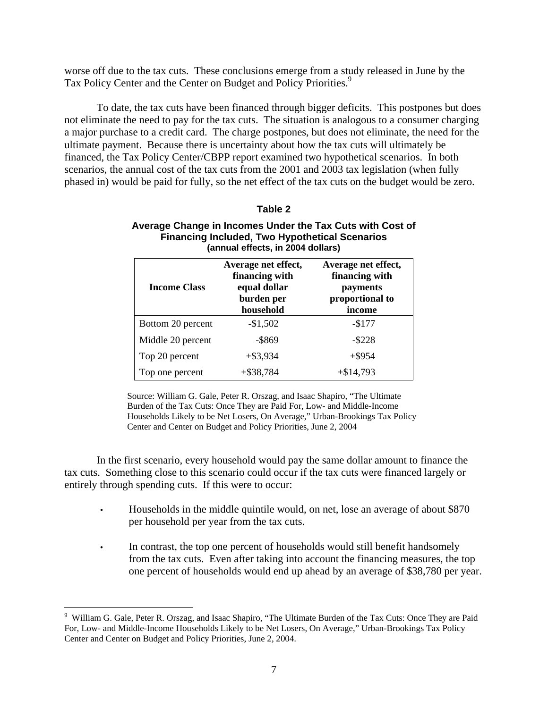worse off due to the tax cuts. These conclusions emerge from a study released in June by the Tax Policy Center and the Center on Budget and Policy Priorities.<sup>9</sup>

 To date, the tax cuts have been financed through bigger deficits. This postpones but does not eliminate the need to pay for the tax cuts. The situation is analogous to a consumer charging a major purchase to a credit card. The charge postpones, but does not eliminate, the need for the ultimate payment. Because there is uncertainty about how the tax cuts will ultimately be financed, the Tax Policy Center/CBPP report examined two hypothetical scenarios. In both scenarios, the annual cost of the tax cuts from the 2001 and 2003 tax legislation (when fully phased in) would be paid for fully, so the net effect of the tax cuts on the budget would be zero.

#### **Table 2**

#### **Average Change in Incomes Under the Tax Cuts with Cost of Financing Included, Two Hypothetical Scenarios (annual effects, in 2004 dollars)**

| <b>Income Class</b> | Average net effect,<br>financing with<br>equal dollar<br>burden per<br>household | Average net effect,<br>financing with<br>payments<br>proportional to<br>income |
|---------------------|----------------------------------------------------------------------------------|--------------------------------------------------------------------------------|
| Bottom 20 percent   | $-$1,502$                                                                        | $-$177$                                                                        |
| Middle 20 percent   | -\$869                                                                           | $-$ \$228                                                                      |
| Top 20 percent      | $+$ \$3,934                                                                      | $+$ \$954                                                                      |
| Top one percent     | $+$ \$38,784                                                                     | $+ $14,793$                                                                    |

Source: William G. Gale, Peter R. Orszag, and Isaac Shapiro, "The Ultimate Burden of the Tax Cuts: Once They are Paid For, Low- and Middle-Income Households Likely to be Net Losers, On Average," Urban-Brookings Tax Policy Center and Center on Budget and Policy Priorities, June 2, 2004

In the first scenario, every household would pay the same dollar amount to finance the tax cuts. Something close to this scenario could occur if the tax cuts were financed largely or entirely through spending cuts. If this were to occur:

- Households in the middle quintile would, on net, lose an average of about \$870 per household per year from the tax cuts.
- In contrast, the top one percent of households would still benefit handsomely from the tax cuts. Even after taking into account the financing measures, the top one percent of households would end up ahead by an average of \$38,780 per year.

<sup>&</sup>lt;sup>9</sup> William G. Gale, Peter R. Orszag, and Isaac Shapiro, "The Ultimate Burden of the Tax Cuts: Once They are Paid For, Low- and Middle-Income Households Likely to be Net Losers, On Average," Urban-Brookings Tax Policy Center and Center on Budget and Policy Priorities, June 2, 2004.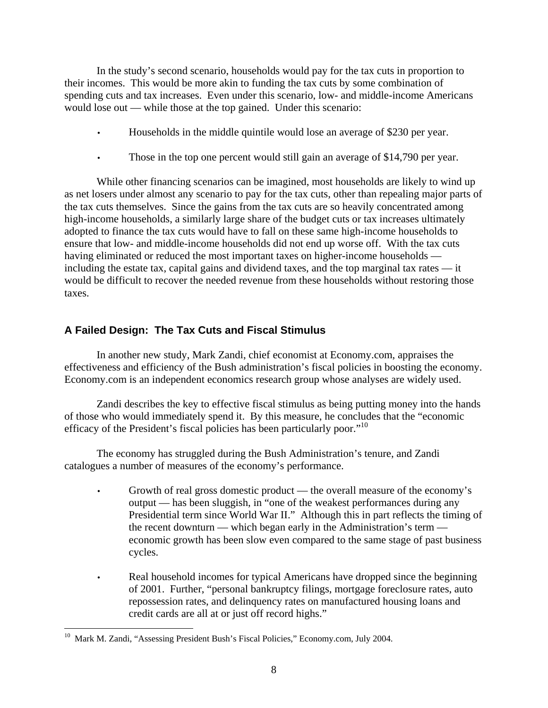In the study's second scenario, households would pay for the tax cuts in proportion to their incomes. This would be more akin to funding the tax cuts by some combination of spending cuts and tax increases. Even under this scenario, low- and middle-income Americans would lose out — while those at the top gained. Under this scenario:

- Households in the middle quintile would lose an average of \$230 per year.
- Those in the top one percent would still gain an average of \$14,790 per year.

While other financing scenarios can be imagined, most households are likely to wind up as net losers under almost any scenario to pay for the tax cuts, other than repealing major parts of the tax cuts themselves. Since the gains from the tax cuts are so heavily concentrated among high-income households, a similarly large share of the budget cuts or tax increases ultimately adopted to finance the tax cuts would have to fall on these same high-income households to ensure that low- and middle-income households did not end up worse off. With the tax cuts having eliminated or reduced the most important taxes on higher-income households including the estate tax, capital gains and dividend taxes, and the top marginal tax rates — it would be difficult to recover the needed revenue from these households without restoring those taxes.

# **A Failed Design: The Tax Cuts and Fiscal Stimulus**

In another new study, Mark Zandi, chief economist at Economy.com, appraises the effectiveness and efficiency of the Bush administration's fiscal policies in boosting the economy. Economy.com is an independent economics research group whose analyses are widely used.

Zandi describes the key to effective fiscal stimulus as being putting money into the hands of those who would immediately spend it. By this measure, he concludes that the "economic efficacy of the President's fiscal policies has been particularly poor."<sup>10</sup>

 The economy has struggled during the Bush Administration's tenure, and Zandi catalogues a number of measures of the economy's performance.

- Growth of real gross domestic product the overall measure of the economy's output — has been sluggish, in "one of the weakest performances during any Presidential term since World War II." Although this in part reflects the timing of the recent downturn — which began early in the Administration's term economic growth has been slow even compared to the same stage of past business cycles.
- Real household incomes for typical Americans have dropped since the beginning of 2001. Further, "personal bankruptcy filings, mortgage foreclosure rates, auto repossession rates, and delinquency rates on manufactured housing loans and credit cards are all at or just off record highs."

<sup>&</sup>lt;sup>10</sup> Mark M. Zandi, "Assessing President Bush's Fiscal Policies," Economy.com, July 2004.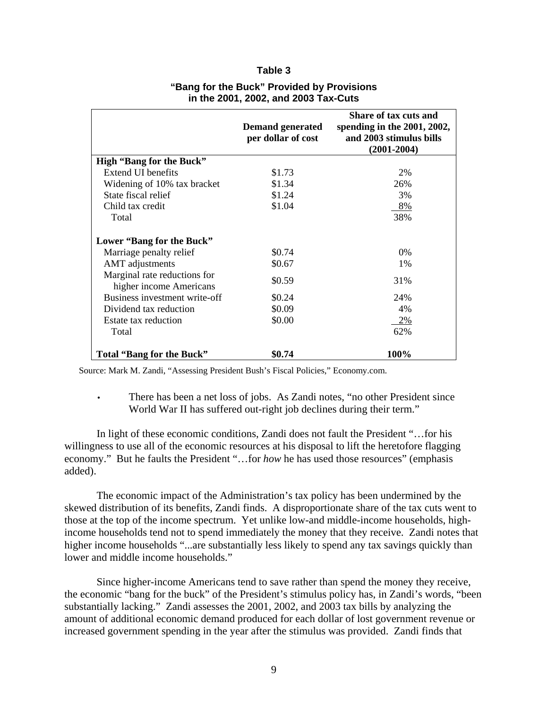#### **Table 3**

|                                                         | <b>Demand generated</b><br>per dollar of cost | Share of tax cuts and<br>spending in the $2001$ , $2002$ ,<br>and 2003 stimulus bills<br>$(2001 - 2004)$ |
|---------------------------------------------------------|-----------------------------------------------|----------------------------------------------------------------------------------------------------------|
| <b>High "Bang for the Buck"</b>                         |                                               |                                                                                                          |
| Extend UI benefits                                      | \$1.73                                        | 2%                                                                                                       |
| Widening of 10% tax bracket                             | \$1.34                                        | 26%                                                                                                      |
| State fiscal relief                                     | \$1.24                                        | 3%                                                                                                       |
| Child tax credit                                        | \$1.04                                        | 8%                                                                                                       |
| Total                                                   |                                               | 38%                                                                                                      |
| Lower "Bang for the Buck"                               |                                               |                                                                                                          |
| Marriage penalty relief                                 | \$0.74                                        | 0%                                                                                                       |
| <b>AMT</b> adjustments                                  | \$0.67                                        | 1%                                                                                                       |
| Marginal rate reductions for<br>higher income Americans | \$0.59                                        | 31%                                                                                                      |
| Business investment write-off                           | \$0.24                                        | 24%                                                                                                      |
| Dividend tax reduction                                  | \$0.09                                        | 4%                                                                                                       |
| Estate tax reduction                                    | \$0.00                                        | 2%                                                                                                       |
| Total                                                   |                                               | 62%                                                                                                      |
| Total "Bang for the Buck"                               | \$0.74                                        | 100%                                                                                                     |

### **"Bang for the Buck" Provided by Provisions in the 2001, 2002, and 2003 Tax-Cuts**

Source: Mark M. Zandi, "Assessing President Bush's Fiscal Policies," Economy.com.

• There has been a net loss of jobs. As Zandi notes, "no other President since World War II has suffered out-right job declines during their term."

 In light of these economic conditions, Zandi does not fault the President "…for his willingness to use all of the economic resources at his disposal to lift the heretofore flagging economy." But he faults the President "…for *how* he has used those resources" (emphasis added).

 The economic impact of the Administration's tax policy has been undermined by the skewed distribution of its benefits, Zandi finds. A disproportionate share of the tax cuts went to those at the top of the income spectrum. Yet unlike low-and middle-income households, highincome households tend not to spend immediately the money that they receive. Zandi notes that higher income households "...are substantially less likely to spend any tax savings quickly than lower and middle income households."

 Since higher-income Americans tend to save rather than spend the money they receive, the economic "bang for the buck" of the President's stimulus policy has, in Zandi's words, "been substantially lacking." Zandi assesses the 2001, 2002, and 2003 tax bills by analyzing the amount of additional economic demand produced for each dollar of lost government revenue or increased government spending in the year after the stimulus was provided. Zandi finds that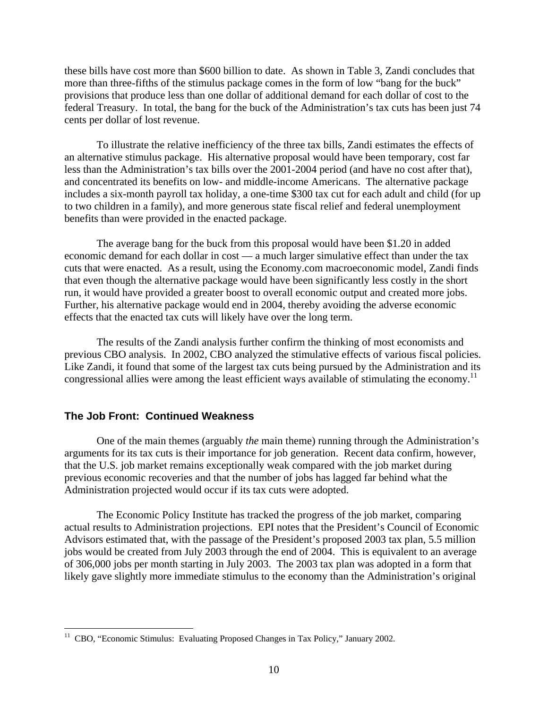these bills have cost more than \$600 billion to date. As shown in Table 3, Zandi concludes that more than three-fifths of the stimulus package comes in the form of low "bang for the buck" provisions that produce less than one dollar of additional demand for each dollar of cost to the federal Treasury. In total, the bang for the buck of the Administration's tax cuts has been just 74 cents per dollar of lost revenue.

To illustrate the relative inefficiency of the three tax bills, Zandi estimates the effects of an alternative stimulus package. His alternative proposal would have been temporary, cost far less than the Administration's tax bills over the 2001-2004 period (and have no cost after that), and concentrated its benefits on low- and middle-income Americans. The alternative package includes a six-month payroll tax holiday, a one-time \$300 tax cut for each adult and child (for up to two children in a family), and more generous state fiscal relief and federal unemployment benefits than were provided in the enacted package.

The average bang for the buck from this proposal would have been \$1.20 in added economic demand for each dollar in cost — a much larger simulative effect than under the tax cuts that were enacted. As a result, using the Economy.com macroeconomic model, Zandi finds that even though the alternative package would have been significantly less costly in the short run, it would have provided a greater boost to overall economic output and created more jobs. Further, his alternative package would end in 2004, thereby avoiding the adverse economic effects that the enacted tax cuts will likely have over the long term.

The results of the Zandi analysis further confirm the thinking of most economists and previous CBO analysis. In 2002, CBO analyzed the stimulative effects of various fiscal policies. Like Zandi, it found that some of the largest tax cuts being pursued by the Administration and its congressional allies were among the least efficient ways available of stimulating the economy.<sup>11</sup>

#### **The Job Front: Continued Weakness**

<u>.</u>

 One of the main themes (arguably *the* main theme) running through the Administration's arguments for its tax cuts is their importance for job generation. Recent data confirm, however, that the U.S. job market remains exceptionally weak compared with the job market during previous economic recoveries and that the number of jobs has lagged far behind what the Administration projected would occur if its tax cuts were adopted.

The Economic Policy Institute has tracked the progress of the job market, comparing actual results to Administration projections. EPI notes that the President's Council of Economic Advisors estimated that, with the passage of the President's proposed 2003 tax plan, 5.5 million jobs would be created from July 2003 through the end of 2004. This is equivalent to an average of 306,000 jobs per month starting in July 2003. The 2003 tax plan was adopted in a form that likely gave slightly more immediate stimulus to the economy than the Administration's original

<sup>&</sup>lt;sup>11</sup> CBO, "Economic Stimulus: Evaluating Proposed Changes in Tax Policy," January 2002.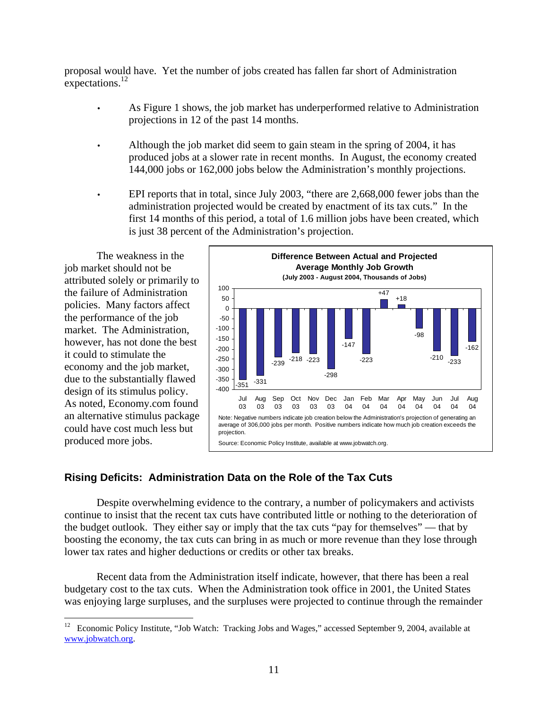proposal would have. Yet the number of jobs created has fallen far short of Administration expectations.<sup>12</sup>

- As Figure 1 shows, the job market has underperformed relative to Administration projections in 12 of the past 14 months.
- Although the job market did seem to gain steam in the spring of 2004, it has produced jobs at a slower rate in recent months. In August, the economy created 144,000 jobs or 162,000 jobs below the Administration's monthly projections.
- EPI reports that in total, since July 2003, "there are 2,668,000 fewer jobs than the administration projected would be created by enactment of its tax cuts." In the first 14 months of this period, a total of 1.6 million jobs have been created, which is just 38 percent of the Administration's projection.

 The weakness in the job market should not be attributed solely or primarily to the failure of Administration policies. Many factors affect the performance of the job market. The Administration, however, has not done the best it could to stimulate the economy and the job market, due to the substantially flawed design of its stimulus policy. As noted, Economy.com found an alternative stimulus package could have cost much less but produced more jobs.



# **Rising Deficits: Administration Data on the Role of the Tax Cuts**

Despite overwhelming evidence to the contrary, a number of policymakers and activists continue to insist that the recent tax cuts have contributed little or nothing to the deterioration of the budget outlook. They either say or imply that the tax cuts "pay for themselves" — that by boosting the economy, the tax cuts can bring in as much or more revenue than they lose through lower tax rates and higher deductions or credits or other tax breaks.

Recent data from the Administration itself indicate, however, that there has been a real budgetary cost to the tax cuts. When the Administration took office in 2001, the United States was enjoying large surpluses, and the surpluses were projected to continue through the remainder

 $12\,$ 12 Economic Policy Institute, "Job Watch: Tracking Jobs and Wages," accessed September 9, 2004, available at www.jobwatch.org.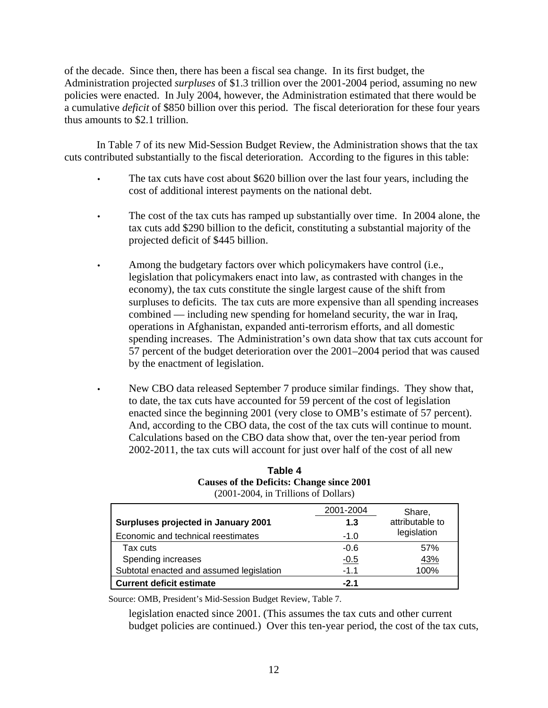of the decade. Since then, there has been a fiscal sea change. In its first budget, the Administration projected *surpluses* of \$1.3 trillion over the 2001-2004 period, assuming no new policies were enacted. In July 2004, however, the Administration estimated that there would be a cumulative *deficit* of \$850 billion over this period. The fiscal deterioration for these four years thus amounts to \$2.1 trillion.

In Table 7 of its new Mid-Session Budget Review, the Administration shows that the tax cuts contributed substantially to the fiscal deterioration. According to the figures in this table:

- The tax cuts have cost about \$620 billion over the last four years, including the cost of additional interest payments on the national debt.
- The cost of the tax cuts has ramped up substantially over time. In 2004 alone, the tax cuts add \$290 billion to the deficit, constituting a substantial majority of the projected deficit of \$445 billion.
- Among the budgetary factors over which policymakers have control (i.e., legislation that policymakers enact into law, as contrasted with changes in the economy), the tax cuts constitute the single largest cause of the shift from surpluses to deficits. The tax cuts are more expensive than all spending increases combined — including new spending for homeland security, the war in Iraq, operations in Afghanistan, expanded anti-terrorism efforts, and all domestic spending increases. The Administration's own data show that tax cuts account for 57 percent of the budget deterioration over the 2001–2004 period that was caused by the enactment of legislation.
- New CBO data released September 7 produce similar findings. They show that, to date, the tax cuts have accounted for 59 percent of the cost of legislation enacted since the beginning 2001 (very close to OMB's estimate of 57 percent). And, according to the CBO data, the cost of the tax cuts will continue to mount. Calculations based on the CBO data show that, over the ten-year period from 2002-2011, the tax cuts will account for just over half of the cost of all new

|                                          | 2001-2004 | Share,          |
|------------------------------------------|-----------|-----------------|
| Surpluses projected in January 2001      | 1.3       | attributable to |
| Economic and technical reestimates       | $-1.0$    | legislation     |
| Tax cuts                                 | $-0.6$    | 57%             |
| Spending increases                       | $-0.5$    | <u>43%</u>      |
| Subtotal enacted and assumed legislation | $-1.1$    | 100%            |
| <b>Current deficit estimate</b>          | $-2.1$    |                 |

## **Table 4 Causes of the Deficits: Change since 2001**  (2001-2004, in Trillions of Dollars)

Source: OMB, President's Mid-Session Budget Review, Table 7.

legislation enacted since 2001. (This assumes the tax cuts and other current budget policies are continued.) Over this ten-year period, the cost of the tax cuts,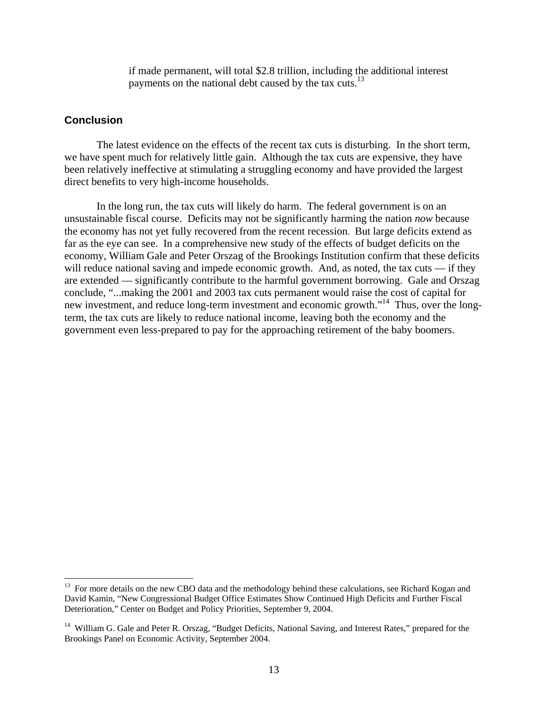if made permanent, will total \$2.8 trillion, including the additional interest payments on the national debt caused by the tax cuts.<sup>13</sup>

## **Conclusion**

 $\overline{a}$ 

The latest evidence on the effects of the recent tax cuts is disturbing. In the short term, we have spent much for relatively little gain. Although the tax cuts are expensive, they have been relatively ineffective at stimulating a struggling economy and have provided the largest direct benefits to very high-income households.

In the long run, the tax cuts will likely do harm. The federal government is on an unsustainable fiscal course. Deficits may not be significantly harming the nation *now* because the economy has not yet fully recovered from the recent recession. But large deficits extend as far as the eye can see. In a comprehensive new study of the effects of budget deficits on the economy, William Gale and Peter Orszag of the Brookings Institution confirm that these deficits will reduce national saving and impede economic growth. And, as noted, the tax cuts — if they are extended — significantly contribute to the harmful government borrowing. Gale and Orszag conclude, "...making the 2001 and 2003 tax cuts permanent would raise the cost of capital for new investment, and reduce long-term investment and economic growth."14 Thus, over the longterm, the tax cuts are likely to reduce national income, leaving both the economy and the government even less-prepared to pay for the approaching retirement of the baby boomers.

<sup>&</sup>lt;sup>13</sup> For more details on the new CBO data and the methodology behind these calculations, see Richard Kogan and David Kamin, "New Congressional Budget Office Estimates Show Continued High Deficits and Further Fiscal Deterioration," Center on Budget and Policy Priorities, September 9, 2004.

<sup>&</sup>lt;sup>14</sup> William G. Gale and Peter R. Orszag, "Budget Deficits, National Saving, and Interest Rates," prepared for the Brookings Panel on Economic Activity, September 2004.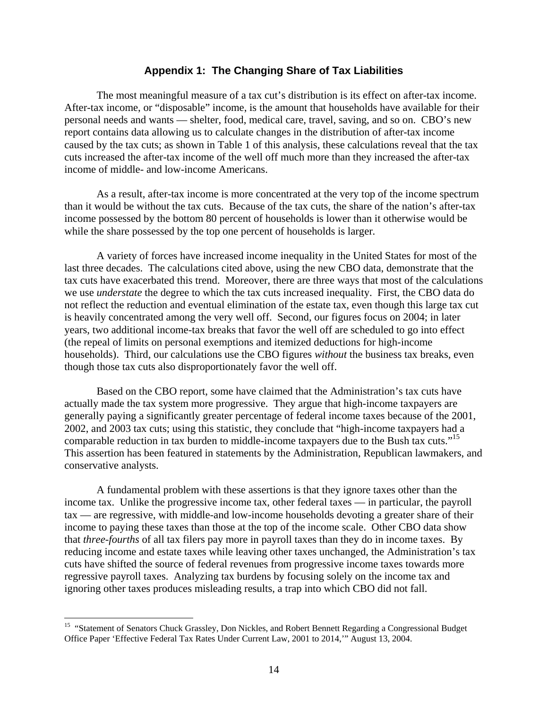### **Appendix 1: The Changing Share of Tax Liabilities**

The most meaningful measure of a tax cut's distribution is its effect on after-tax income. After-tax income, or "disposable" income, is the amount that households have available for their personal needs and wants — shelter, food, medical care, travel, saving, and so on. CBO's new report contains data allowing us to calculate changes in the distribution of after-tax income caused by the tax cuts; as shown in Table 1 of this analysis, these calculations reveal that the tax cuts increased the after-tax income of the well off much more than they increased the after-tax income of middle- and low-income Americans.

As a result, after-tax income is more concentrated at the very top of the income spectrum than it would be without the tax cuts. Because of the tax cuts, the share of the nation's after-tax income possessed by the bottom 80 percent of households is lower than it otherwise would be while the share possessed by the top one percent of households is larger*.* 

A variety of forces have increased income inequality in the United States for most of the last three decades. The calculations cited above, using the new CBO data, demonstrate that the tax cuts have exacerbated this trend. Moreover, there are three ways that most of the calculations we use *understate* the degree to which the tax cuts increased inequality. First, the CBO data do not reflect the reduction and eventual elimination of the estate tax, even though this large tax cut is heavily concentrated among the very well off. Second, our figures focus on 2004; in later years, two additional income-tax breaks that favor the well off are scheduled to go into effect (the repeal of limits on personal exemptions and itemized deductions for high-income households). Third, our calculations use the CBO figures *without* the business tax breaks, even though those tax cuts also disproportionately favor the well off.

Based on the CBO report, some have claimed that the Administration's tax cuts have actually made the tax system more progressive. They argue that high-income taxpayers are generally paying a significantly greater percentage of federal income taxes because of the 2001, 2002, and 2003 tax cuts; using this statistic, they conclude that "high-income taxpayers had a comparable reduction in tax burden to middle-income taxpayers due to the Bush tax cuts."<sup>15</sup> This assertion has been featured in statements by the Administration, Republican lawmakers, and conservative analysts.

 A fundamental problem with these assertions is that they ignore taxes other than the income tax. Unlike the progressive income tax, other federal taxes — in particular, the payroll tax — are regressive, with middle-and low-income households devoting a greater share of their income to paying these taxes than those at the top of the income scale. Other CBO data show that *three-fourths* of all tax filers pay more in payroll taxes than they do in income taxes. By reducing income and estate taxes while leaving other taxes unchanged, the Administration's tax cuts have shifted the source of federal revenues from progressive income taxes towards more regressive payroll taxes. Analyzing tax burdens by focusing solely on the income tax and ignoring other taxes produces misleading results, a trap into which CBO did not fall.

1

<sup>&</sup>lt;sup>15</sup> "Statement of Senators Chuck Grassley, Don Nickles, and Robert Bennett Regarding a Congressional Budget Office Paper 'Effective Federal Tax Rates Under Current Law, 2001 to 2014,'" August 13, 2004.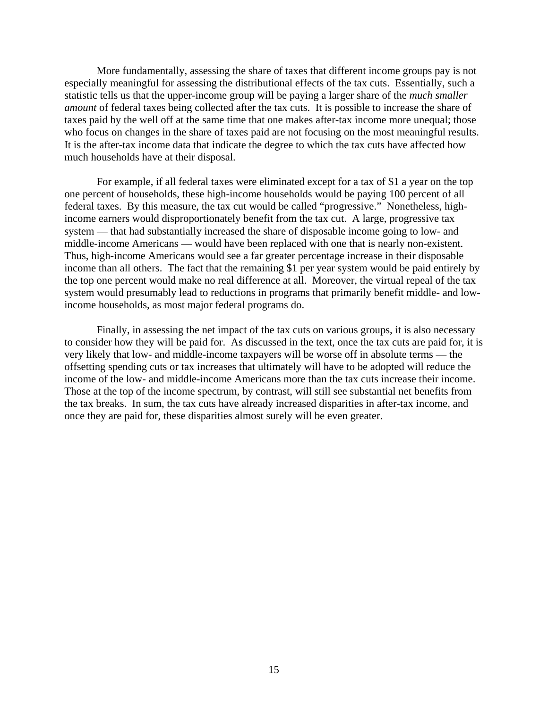More fundamentally, assessing the share of taxes that different income groups pay is not especially meaningful for assessing the distributional effects of the tax cuts. Essentially, such a statistic tells us that the upper-income group will be paying a larger share of the *much smaller amount* of federal taxes being collected after the tax cuts. It is possible to increase the share of taxes paid by the well off at the same time that one makes after-tax income more unequal; those who focus on changes in the share of taxes paid are not focusing on the most meaningful results. It is the after-tax income data that indicate the degree to which the tax cuts have affected how much households have at their disposal.

For example, if all federal taxes were eliminated except for a tax of \$1 a year on the top one percent of households, these high-income households would be paying 100 percent of all federal taxes. By this measure, the tax cut would be called "progressive." Nonetheless, highincome earners would disproportionately benefit from the tax cut. A large, progressive tax system — that had substantially increased the share of disposable income going to low- and middle-income Americans — would have been replaced with one that is nearly non-existent. Thus, high-income Americans would see a far greater percentage increase in their disposable income than all others. The fact that the remaining \$1 per year system would be paid entirely by the top one percent would make no real difference at all. Moreover, the virtual repeal of the tax system would presumably lead to reductions in programs that primarily benefit middle- and lowincome households, as most major federal programs do.

Finally, in assessing the net impact of the tax cuts on various groups, it is also necessary to consider how they will be paid for. As discussed in the text, once the tax cuts are paid for, it is very likely that low- and middle-income taxpayers will be worse off in absolute terms — the offsetting spending cuts or tax increases that ultimately will have to be adopted will reduce the income of the low- and middle-income Americans more than the tax cuts increase their income. Those at the top of the income spectrum, by contrast, will still see substantial net benefits from the tax breaks. In sum, the tax cuts have already increased disparities in after-tax income, and once they are paid for, these disparities almost surely will be even greater.